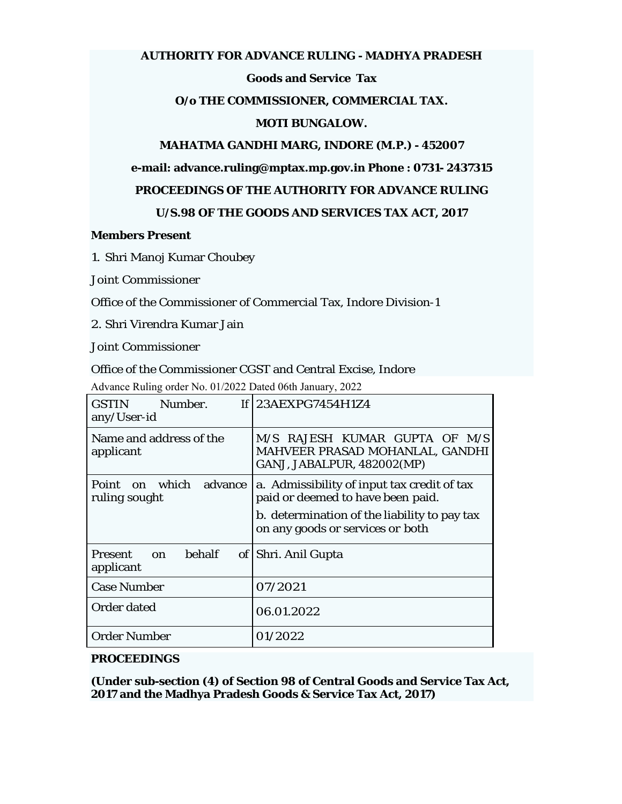### **AUTHORITY FOR ADVANCE RULING - MADHYA PRADESH**

# **Goods and Service Tax**

## **O/o THE COMMISSIONER, COMMERCIAL TAX.**

## **MOTI BUNGALOW.**

# **MAHATMA GANDHI MARG, INDORE (M.P.) - 452007**

## **e-mail: advance.ruling@mptax.mp.gov.in Phone : 0731- 2437315**

### **PROCEEDINGS OF THE AUTHORITY FOR ADVANCE RULING**

## **U/S.98 OF THE GOODS AND SERVICES TAX ACT, 2017**

### **Members Present**

### 1. Shri Manoj Kumar Choubey

Joint Commissioner

Office of the Commissioner of Commercial Tax, Indore Division-1

2. Shri Virendra Kumar Jain

Joint Commissioner

#### Office of the Commissioner CGST and Central Excise, Indore

Advance Ruling order No. 01/2022 Dated 06th January, 2022

| GSTIN Number.<br>any/User-id                       | If $ 23AEXPG7454H1Z4$                                                                          |
|----------------------------------------------------|------------------------------------------------------------------------------------------------|
| Name and address of the<br>applicant               | M/S RAJESH KUMAR GUPTA OF M/S<br>MAHVEER PRASAD MOHANLAL, GANDHI<br>GANJ, JABALPUR, 482002(MP) |
| Point on which<br>advance<br>ruling sought         | a. Admissibility of input tax credit of tax<br>paid or deemed to have been paid.               |
|                                                    | b. determination of the liability to pay tax<br>on any goods or services or both               |
| <b>behalf</b><br><b>Present</b><br>on<br>applicant | of Shri. Anil Gupta                                                                            |
| <b>Case Number</b>                                 | 07/2021                                                                                        |
| <b>Order dated</b>                                 | 06.01.2022                                                                                     |
| <b>Order Number</b>                                | 01/2022                                                                                        |

## **PROCEEDINGS**

**(Under sub-section (4) of Section 98 of Central Goods and Service Tax Act, 2017 and the Madhya Pradesh Goods & Service Tax Act, 2017)**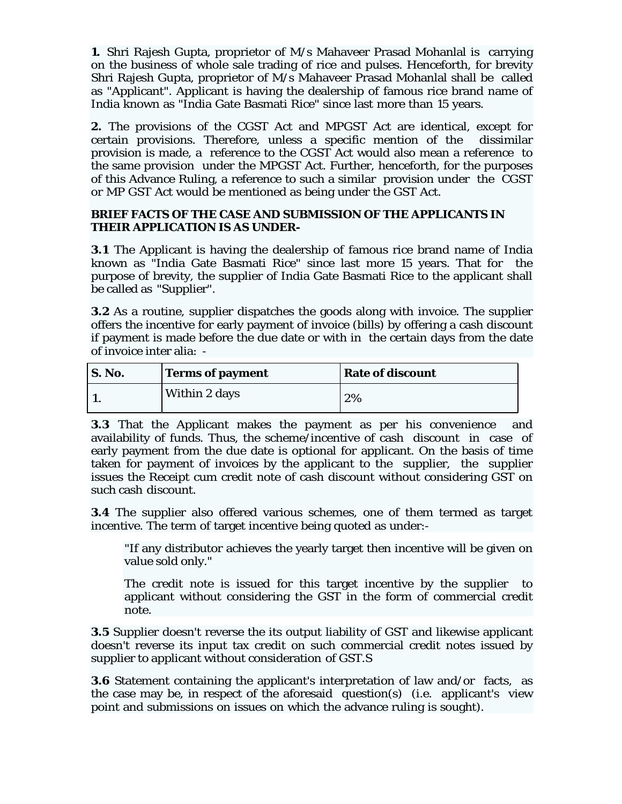**1.** Shri Rajesh Gupta, proprietor of M/s Mahaveer Prasad Mohanlal is carrying on the business of whole sale trading of rice and pulses. Henceforth, for brevity Shri Rajesh Gupta, proprietor of M/s Mahaveer Prasad Mohanlal shall be called as "Applicant". Applicant is having the dealership of famous rice brand name of India known as "India Gate Basmati Rice" since last more than 15 years.

**2.** The provisions of the CGST Act and MPGST Act are identical, except for certain provisions. Therefore, unless a specific mention of the dissimilar provision is made, a reference to the CGST Act would also mean a reference to the same provision under the MPGST Act. Further, henceforth, for the purposes of this Advance Ruling, a reference to such a similar provision under the CGST or MP GST Act would be mentioned as being under the GST Act.

# **BRIEF FACTS OF THE CASE AND SUBMISSION OF THE APPLICANTS IN THEIR APPLICATION IS AS UNDER-**

**3.1** The Applicant is having the dealership of famous rice brand name of India known as "India Gate Basmati Rice" since last more 15 years. That for the purpose of brevity, the supplier of India Gate Basmati Rice to the applicant shall be called as "Supplier".

**3.2** As a routine, supplier dispatches the goods along with invoice. The supplier offers the incentive for early payment of invoice (bills) by offering a cash discount if payment is made before the due date or with in the certain days from the date of invoice inter alia: -

| S. No. | <b>Terms of payment</b> | <b>Rate of discount</b> |
|--------|-------------------------|-------------------------|
|        | Within 2 days           | 2%                      |

**3.3** That the Applicant makes the payment as per his convenience and availability of funds. Thus, the scheme/incentive of cash discount in case of early payment from the due date is optional for applicant. On the basis of time taken for payment of invoices by the applicant to the supplier, the supplier issues the Receipt cum credit note of cash discount without considering GST on such cash discount.

**3.4** The supplier also offered various schemes, one of them termed as target incentive. The term of target incentive being quoted as under:-

"If any distributor achieves the yearly target then incentive will be given on value sold only."

The credit note is issued for this target incentive by the supplier to applicant without considering the GST in the form of commercial credit note.

**3.5** Supplier doesn't reverse the its output liability of GST and likewise applicant doesn't reverse its input tax credit on such commercial credit notes issued by supplier to applicant without consideration of GST.S

**3.6** Statement containing the applicant's interpretation of law and/or facts, as the case may be, in respect of the aforesaid question(s) (i.e. applicant's view point and submissions on issues on which the advance ruling is sought).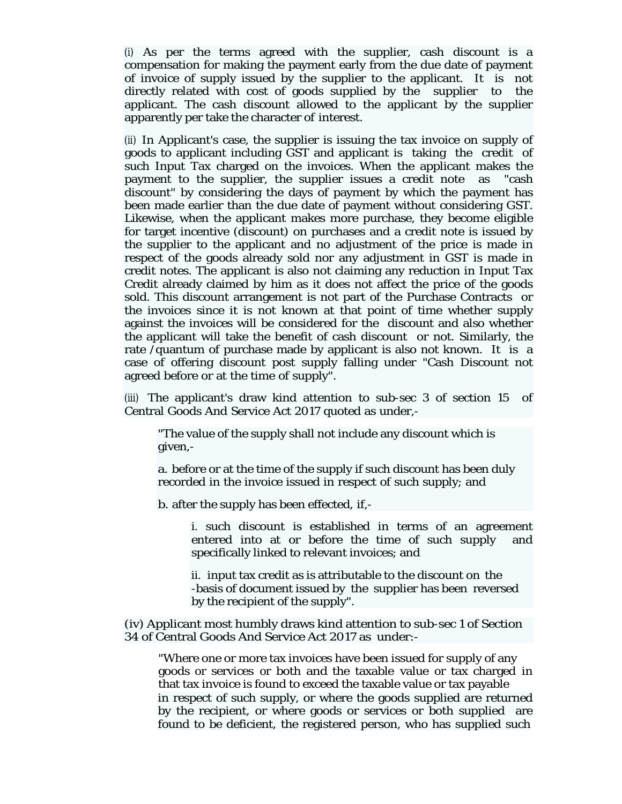(i) As per the terms agreed with the supplier, cash discount is a compensation for making the payment early from the due date of payment of invoice of supply issued by the supplier to the applicant. It is not directly related with cost of goods supplied by the supplier to the applicant. The cash discount allowed to the applicant by the supplier apparently per take the character of interest.

(ii) In Applicant's case, the supplier is issuing the tax invoice on supply of goods to applicant including GST and applicant is taking the credit of such Input Tax charged on the invoices. When the applicant makes the payment to the supplier, the supplier issues a credit note as "cash discount" by considering the days of payment by which the payment has been made earlier than the due date of payment without considering GST. Likewise, when the applicant makes more purchase, they become eligible for target incentive (discount) on purchases and a credit note is issued by the supplier to the applicant and no adjustment of the price is made in respect of the goods already sold nor any adjustment in GST is made in credit notes. The applicant is also not claiming any reduction in Input Tax Credit already claimed by him as it does not affect the price of the goods sold. This discount arrangement is not part of the Purchase Contracts or the invoices since it is not known at that point of time whether supply against the invoices will be considered for the discount and also whether the applicant will take the benefit of cash discount or not. Similarly, the rate /quantum of purchase made by applicant is also not known. It is a case of offering discount post supply falling under "Cash Discount not agreed before or at the time of supply".

(iii) The applicant's draw kind attention to sub-sec 3 of section 15 of Central Goods And Service Act 2017 quoted as under,-

"The value of the supply shall not include any discount which is given,-

a. before or at the time of the supply if such discount has been duly recorded in the invoice issued in respect of such supply; and

b. after the supply has been effected, if,-

i. such discount is established in terms of an agreement entered into at or before the time of such supply and specifically linked to relevant invoices; and

ii. input tax credit as is attributable to the discount on the -basis of document issued by the supplier has been reversed by the recipient of the supply".

(iv) Applicant most humbly draws kind attention to sub-sec 1 of Section 34 of Central Goods And Service Act 2017 as under:-

"Where one or more tax invoices have been issued for supply of any goods or services or both and the taxable value or tax charged in that tax invoice is found to exceed the taxable value or tax payable in respect of such supply, or where the goods supplied are returned by the recipient, or where goods or services or both supplied are found to be deficient, the registered person, who has supplied such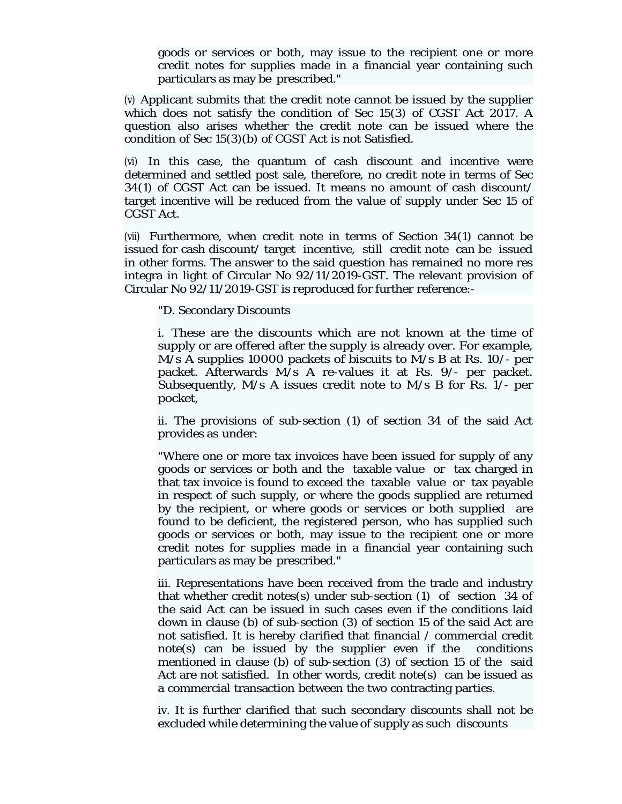goods or services or both, may issue to the recipient one or more credit notes for supplies made in a financial year containing such particulars as may be prescribed."

(v) Applicant submits that the credit note cannot be issued by the supplier which does not satisfy the condition of Sec 15(3) of CGST Act 2017. A question also arises whether the credit note can be issued where the condition of Sec 15(3)(b) of CGST Act is not Satisfied.

(vi) In this case, the quantum of cash discount and incentive were determined and settled post sale, therefore, no credit note in terms of Sec 34(1) of CGST Act can be issued. It means no amount of cash discount/ target incentive will be reduced from the value of supply under Sec 15 of CGST Act.

(vii) Furthermore, when credit note in terms of Section 34(1) cannot be issued for cash discount/ target incentive, still credit note can be issued in other forms. The answer to the said question has remained no more res integra in light of Circular No 92/11/2019-GST. The relevant provision of Circular No 92/11/2019-GST is reproduced for further reference:-

"D. Secondary Discounts

i. These are the discounts which are not known at the time of supply or are offered after the supply is already over. For example, M/s A supplies 10000 packets of biscuits to M/s B at Rs. 10/- per packet. Afterwards M/s A re-values it at Rs. 9/- per packet. Subsequently, M/s A issues credit note to M/s B for Rs. 1/- per pocket,

ii. The provisions of sub-section (1) of section 34 of the said Act provides as under:

"Where one or more tax invoices have been issued for supply of any goods or services or both and the taxable value or tax charged in that tax invoice is found to exceed the taxable value or tax payable in respect of such supply, or where the goods supplied are returned by the recipient, or where goods or services or both supplied are found to be deficient, the registered person, who has supplied such goods or services or both, may issue to the recipient one or more credit notes for supplies made in a financial year containing such particulars as may be prescribed."

iii. Representations have been received from the trade and industry that whether credit notes(s) under sub-section (1) of section 34 of the said Act can be issued in such cases even if the conditions laid down in clause (b) of sub-section (3) of section 15 of the said Act are not satisfied. It is hereby clarified that financial / commercial credit note(s) can be issued by the supplier even if the conditions mentioned in clause (b) of sub-section (3) of section 15 of the said Act are not satisfied. In other words, credit note(s) can be issued as a commercial transaction between the two contracting parties.

iv. It is further clarified that such secondary discounts shall not be excluded while determining the value of supply as such discounts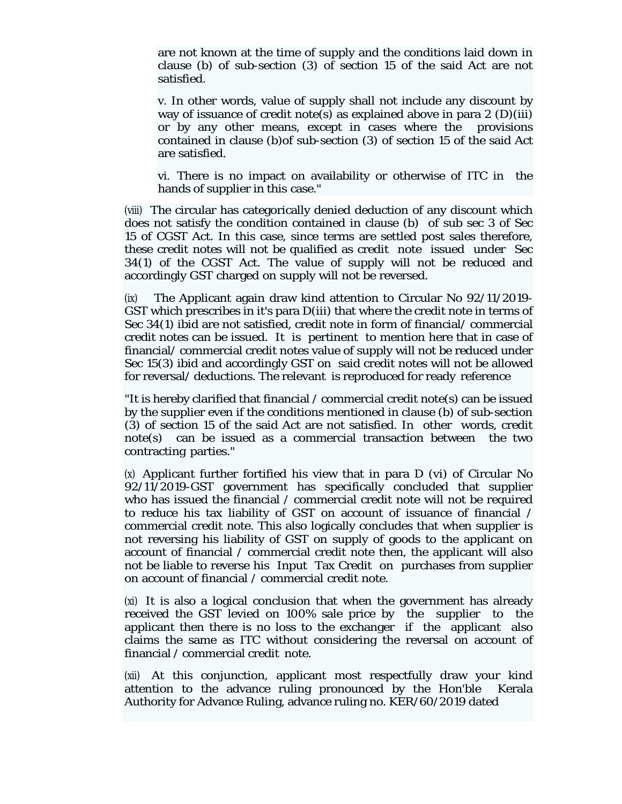are not known at the time of supply and the conditions laid down in clause (b) of sub-section (3) of section 15 of the said Act are not satisfied.

v. In other words, value of supply shall not include any discount by way of issuance of credit note(s) as explained above in para  $2 \text{ (D)(iii)}$ or by any other means, except in cases where the provisions contained in clause (b)of sub-section (3) of section 15 of the said Act are satisfied.

vi. There is no impact on availability or otherwise of ITC in the hands of supplier in this case."

(viii) The circular has categorically denied deduction of any discount which does not satisfy the condition contained in clause (b) of sub sec 3 of Sec 15 of CGST Act. In this case, since terms are settled post sales therefore, these credit notes will not be qualified as credit note issued under Sec 34(1) of the CGST Act. The value of supply will not be reduced and accordingly GST charged on supply will not be reversed.

(ix) The Applicant again draw kind attention to Circular No 92/11/2019- GST which prescribes in it's para D(iii) that where the credit note in terms of Sec 34(1) ibid are not satisfied, credit note in form of financial/ commercial credit notes can be issued. It is pertinent to mention here that in case of financial/ commercial credit notes value of supply will not be reduced under Sec 15(3) ibid and accordingly GST on said credit notes will not be allowed for reversal/ deductions. The relevant is reproduced for ready reference

"It is hereby clarified that financial / commercial credit note(s) can be issued by the supplier even if the conditions mentioned in clause (b) of sub-section (3) of section 15 of the said Act are not satisfied. In other words, credit note(s) can be issued as a commercial transaction between the two contracting parties."

(x) Applicant further fortified his view that in para D (vi) of Circular No 92/11/2019-GST government has specifically concluded that supplier who has issued the financial / commercial credit note will not be required to reduce his tax liability of GST on account of issuance of financial / commercial credit note. This also logically concludes that when supplier is not reversing his liability of GST on supply of goods to the applicant on account of financial / commercial credit note then, the applicant will also not be liable to reverse his Input Tax Credit on purchases from supplier on account of financial / commercial credit note.

(xi) It is also a logical conclusion that when the government has already received the GST levied on 100% sale price by the supplier to the applicant then there is no loss to the exchanger if the applicant also claims the same as ITC without considering the reversal on account of financial / commercial credit note.

(xii) At this conjunction, applicant most respectfully draw your kind attention to the advance ruling pronounced by the Hon'ble Kerala Authority for Advance Ruling, advance ruling no. KER/60/2019 dated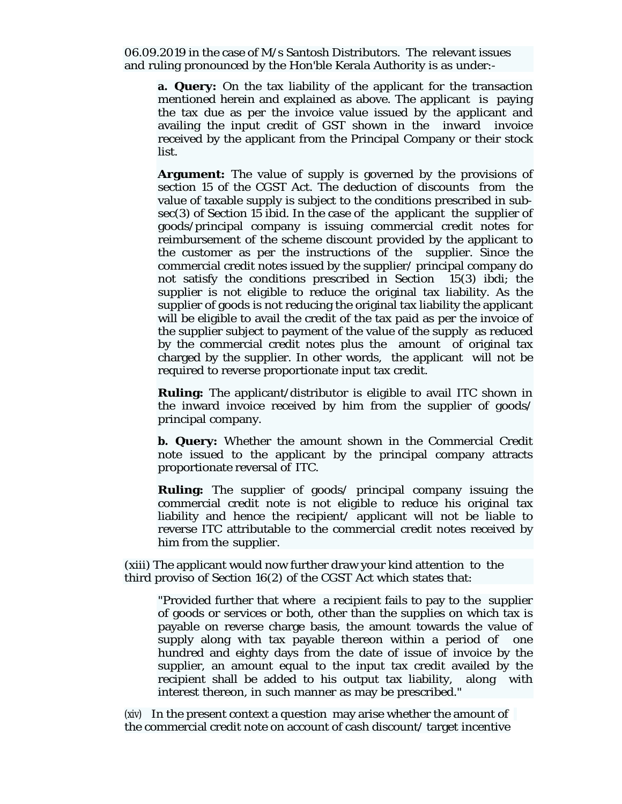06.09.2019 in the case of M/s Santosh Distributors. The relevant issues and ruling pronounced by the Hon'ble Kerala Authority is as under:-

**a. Query:** On the tax liability of the applicant for the transaction mentioned herein and explained as above. The applicant is paying the tax due as per the invoice value issued by the applicant and availing the input credit of GST shown in the inward invoice received by the applicant from the Principal Company or their stock list.

**Argument:** The value of supply is governed by the provisions of section 15 of the CGST Act. The deduction of discounts from the value of taxable supply is subject to the conditions prescribed in subsec(3) of Section 15 ibid. In the case of the applicant the supplier of goods/principal company is issuing commercial credit notes for reimbursement of the scheme discount provided by the applicant to the customer as per the instructions of the supplier. Since the commercial credit notes issued by the supplier/ principal company do not satisfy the conditions prescribed in Section 15(3) ibdi; the supplier is not eligible to reduce the original tax liability. As the supplier of goods is not reducing the original tax liability the applicant will be eligible to avail the credit of the tax paid as per the invoice of the supplier subject to payment of the value of the supply as reduced by the commercial credit notes plus the amount of original tax charged by the supplier. In other words, the applicant will not be required to reverse proportionate input tax credit.

**Ruling:** The applicant/distributor is eligible to avail ITC shown in the inward invoice received by him from the supplier of goods/ principal company.

**b. Query:** Whether the amount shown in the Commercial Credit note issued to the applicant by the principal company attracts proportionate reversal of ITC.

**Ruling:** The supplier of goods/ principal company issuing the commercial credit note is not eligible to reduce his original tax liability and hence the recipient/ applicant will not be liable to reverse ITC attributable to the commercial credit notes received by him from the supplier.

(xiii) The applicant would now further draw your kind attention to the third proviso of Section 16(2) of the CGST Act which states that:

"Provided further that where a recipient fails to pay to the supplier of goods or services or both, other than the supplies on which tax is payable on reverse charge basis, the amount towards the value of supply along with tax payable thereon within a period of one hundred and eighty days from the date of issue of invoice by the supplier, an amount equal to the input tax credit availed by the recipient shall be added to his output tax liability, along with interest thereon, in such manner as may be prescribed."

(xiv) In the present context a question may arise whether the amount of the commercial credit note on account of cash discount/ target incentive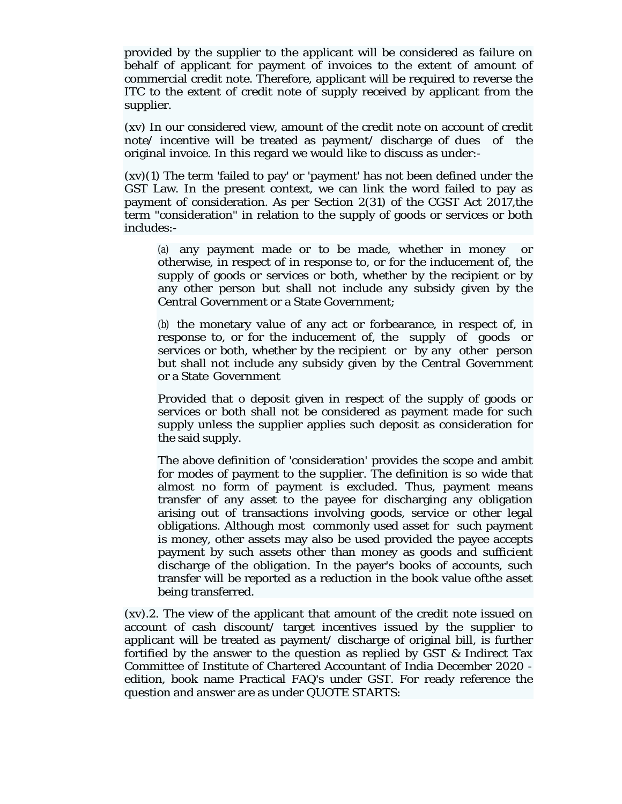provided by the supplier to the applicant will be considered as failure on behalf of applicant for payment of invoices to the extent of amount of commercial credit note. Therefore, applicant will be required to reverse the ITC to the extent of credit note of supply received by applicant from the supplier.

(xv) In our considered view, amount of the credit note on account of credit note/ incentive will be treated as payment/ discharge of dues of the original invoice. In this regard we would like to discuss as under:-

(xv)(1) The term 'failed to pay' or 'payment' has not been defined under the GST Law. In the present context, we can link the word failed to pay as payment of consideration. As per Section 2(31) of the CGST Act 2017,the term "consideration" in relation to the supply of goods or services or both includes:-

(a) any payment made or to be made, whether in money or otherwise, in respect of in response to, or for the inducement of, the supply of goods or services or both, whether by the recipient or by any other person but shall not include any subsidy given by the Central Government or a State Government;

(b) the monetary value of any act or forbearance, in respect of, in response to, or for the inducement of, the supply of goods or services or both, whether by the recipient or by any other person but shall not include any subsidy given by the Central Government or a State Government

Provided that o deposit given in respect of the supply of goods or services or both shall not be considered as payment made for such supply unless the supplier applies such deposit as consideration for the said supply.

The above definition of 'consideration' provides the scope and ambit for modes of payment to the supplier. The definition is so wide that almost no form of payment is excluded. Thus, payment means transfer of any asset to the payee for discharging any obligation arising out of transactions involving goods, service or other legal obligations. Although most commonly used asset for such payment is money, other assets may also be used provided the payee accepts payment by such assets other than money as goods and sufficient discharge of the obligation. In the payer's books of accounts, such transfer will be reported as a reduction in the book value ofthe asset being transferred.

(xv).2. The view of the applicant that amount of the credit note issued on account of cash discount/ target incentives issued by the supplier to applicant will be treated as payment/ discharge of original bill, is further fortified by the answer to the question as replied by GST & Indirect Tax Committee of Institute of Chartered Accountant of India December 2020 edition, book name Practical FAQ's under GST. For ready reference the question and answer are as under QUOTE STARTS: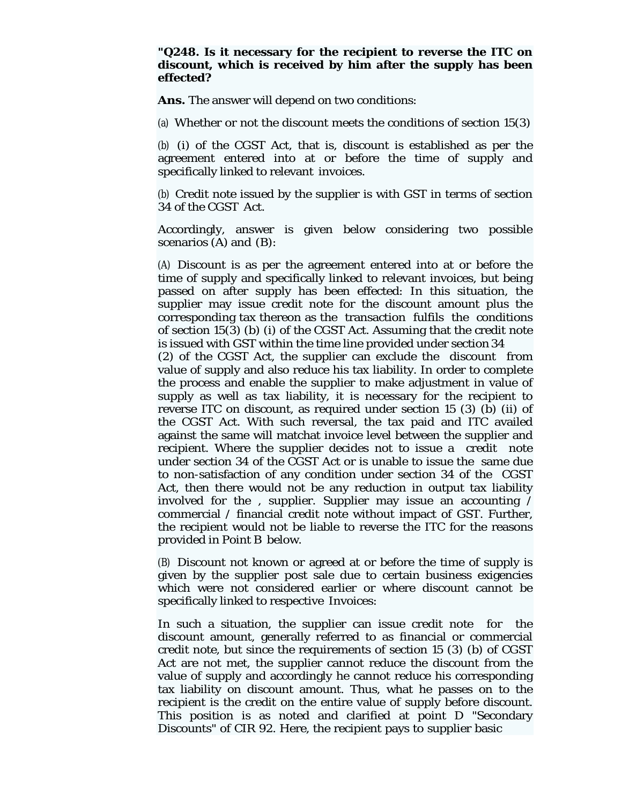# **"Q248. Is it necessary for the recipient to reverse the ITC on discount, which is received by him after the supply has been effected?**

**Ans.** The answer will depend on two conditions:

(a) Whether or not the discount meets the conditions of section 15(3)

(b) (i) of the CGST Act, that is, discount is established as per the agreement entered into at or before the time of supply and specifically linked to relevant invoices.

(b) Credit note issued by the supplier is with GST in terms of section 34 of the CGST Act.

Accordingly, answer is given below considering two possible scenarios (A) and (B):

(A) Discount is as per the agreement entered into at or before the time of supply and specifically linked to relevant invoices, but being passed on after supply has been effected: In this situation, the supplier may issue credit note for the discount amount plus the corresponding tax thereon as the transaction fulfils the conditions of section 15(3) (b) (i) of the CGST Act. Assuming that the credit note is issued with GST within the time line provided under section 34

(2) of the CGST Act, the supplier can exclude the discount from value of supply and also reduce his tax liability. In order to complete the process and enable the supplier to make adjustment in value of supply as well as tax liability, it is necessary for the recipient to reverse ITC on discount, as required under section 15 (3) (b) (ii) of the CGST Act. With such reversal, the tax paid and ITC availed against the same will matchat invoice level between the supplier and recipient. Where the supplier decides not to issue a credit note under section 34 of the CGST Act or is unable to issue the same due to non-satisfaction of any condition under section 34 of the CGST Act, then there would not be any reduction in output tax liability involved for the , supplier. Supplier may issue an accounting / commercial / financial credit note without impact of GST. Further, the recipient would not be liable to reverse the ITC for the reasons provided in Point B below.

(B) Discount not known or agreed at or before the time of supply is given by the supplier post sale due to certain business exigencies which were not considered earlier or where discount cannot be specifically linked to respective Invoices:

In such a situation, the supplier can issue credit note for the discount amount, generally referred to as financial or commercial credit note, but since the requirements of section 15 (3) (b) of CGST Act are not met, the supplier cannot reduce the discount from the value of supply and accordingly he cannot reduce his corresponding tax liability on discount amount. Thus, what he passes on to the recipient is the credit on the entire value of supply before discount. This position is as noted and clarified at point D "Secondary Discounts" of CIR 92. Here, the recipient pays to supplier basic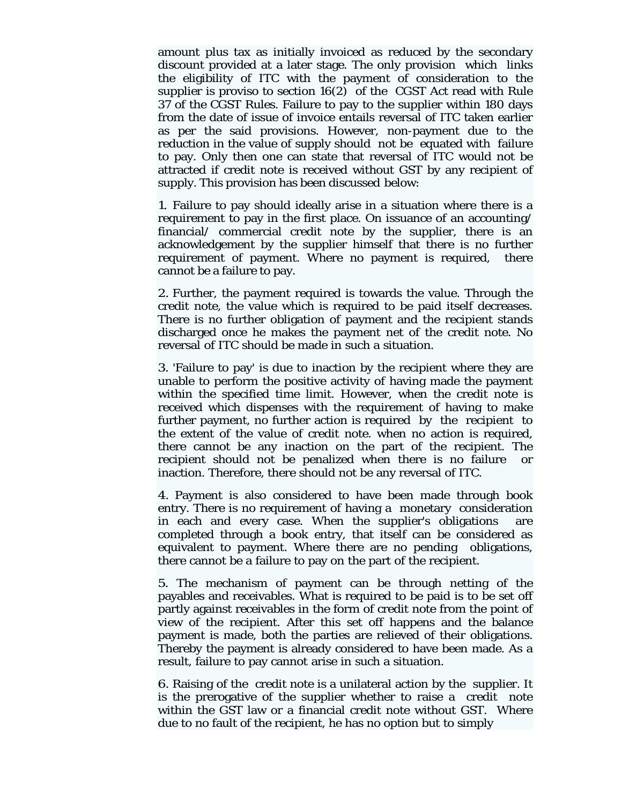amount plus tax as initially invoiced as reduced by the secondary discount provided at a later stage. The only provision which links the eligibility of ITC with the payment of consideration to the supplier is proviso to section 16(2) of the CGST Act read with Rule 37 of the CGST Rules. Failure to pay to the supplier within 180 days from the date of issue of invoice entails reversal of ITC taken earlier as per the said provisions. However, non-payment due to the reduction in the value of supply should not be equated with failure to pay. Only then one can state that reversal of ITC would not be attracted if credit note is received without GST by any recipient of supply. This provision has been discussed below:

1. Failure to pay should ideally arise in a situation where there is a requirement to pay in the first place. On issuance of an accounting/ financial/ commercial credit note by the supplier, there is an acknowledgement by the supplier himself that there is no further requirement of payment. Where no payment is required, there cannot be a failure to pay.

2. Further, the payment required is towards the value. Through the credit note, the value which is required to be paid itself decreases. There is no further obligation of payment and the recipient stands discharged once he makes the payment net of the credit note. No reversal of ITC should be made in such a situation.

3. 'Failure to pay' is due to inaction by the recipient where they are unable to perform the positive activity of having made the payment within the specified time limit. However, when the credit note is received which dispenses with the requirement of having to make further payment, no further action is required by the recipient to the extent of the value of credit note. when no action is required, there cannot be any inaction on the part of the recipient. The recipient should not be penalized when there is no failure or inaction. Therefore, there should not be any reversal of ITC.

4. Payment is also considered to have been made through book entry. There is no requirement of having a monetary consideration in each and every case. When the supplier's obligations are completed through a book entry, that itself can be considered as equivalent to payment. Where there are no pending obligations, there cannot be a failure to pay on the part of the recipient.

5. The mechanism of payment can be through netting of the payables and receivables. What is required to be paid is to be set off partly against receivables in the form of credit note from the point of view of the recipient. After this set off happens and the balance payment is made, both the parties are relieved of their obligations. Thereby the payment is already considered to have been made. As a result, failure to pay cannot arise in such a situation.

6. Raising of the credit note is a unilateral action by the supplier. It is the prerogative of the supplier whether to raise a credit note within the GST law or a financial credit note without GST. Where due to no fault of the recipient, he has no option but to simply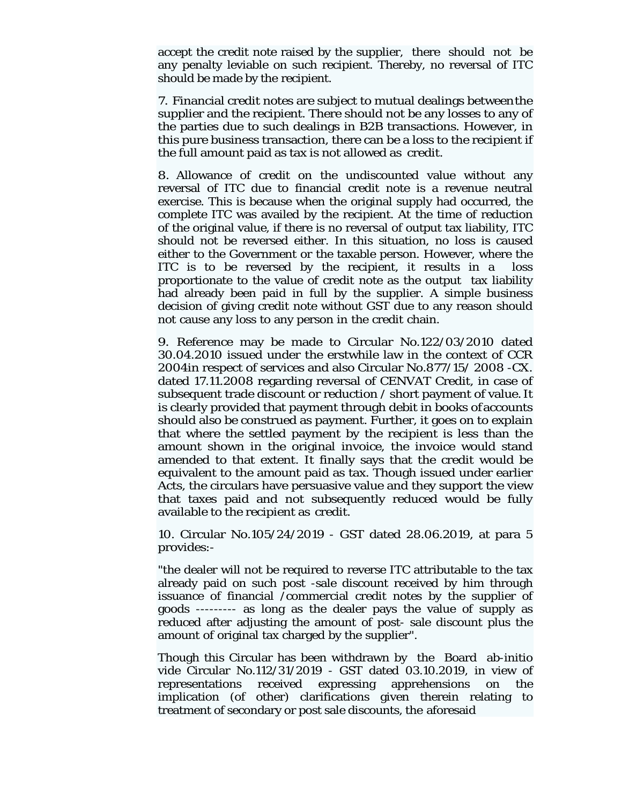accept the credit note raised by the supplier, there should not be any penalty leviable on such recipient. Thereby, no reversal of ITC should be made by the recipient.

7. Financial credit notes are subject to mutual dealings between the supplier and the recipient. There should not be any losses to any of the parties due to such dealings in B2B transactions. However, in this pure business transaction, there can be a loss to the recipient if the full amount paid as tax is not allowed as credit.

8. Allowance of credit on the undiscounted value without any reversal of ITC due to financial credit note is a revenue neutral exercise. This is because when the original supply had occurred, the complete ITC was availed by the recipient. At the time of reduction of the original value, if there is no reversal of output tax liability, ITC should not be reversed either. In this situation, no loss is caused either to the Government or the taxable person. However, where the ITC is to be reversed by the recipient, it results in a loss proportionate to the value of credit note as the output tax liability had already been paid in full by the supplier. A simple business decision of giving credit note without GST due to any reason should not cause any loss to any person in the credit chain.

9. Reference may be made to Circular No.122/03/2010 dated 30.04.2010 issued under the erstwhile law in the context of CCR 2004in respect of services and also Circular No.877/15/ 2008 -CX. dated 17.11.2008 regarding reversal of CENVAT Credit, in case of subsequent trade discount or reduction / short payment of value. It is clearly provided that payment through debit in books of accounts should also be construed as payment. Further, it goes on to explain that where the settled payment by the recipient is less than the amount shown in the original invoice, the invoice would stand amended to that extent. It finally says that the credit would be equivalent to the amount paid as tax. Though issued under earlier Acts, the circulars have persuasive value and they support the view that taxes paid and not subsequently reduced would be fully available to the recipient as credit.

10. Circular No.105/24/2019 - GST dated 28.06.2019, at para 5 provides:-

"the dealer will not be required to reverse ITC attributable to the tax already paid on such post -sale discount received by him through issuance of financial /commercial credit notes by the supplier of goods --------- as long as the dealer pays the value of supply as reduced after adjusting the amount of post- sale discount plus the amount of original tax charged by the supplier".

Though this Circular has been withdrawn by the Board ab-initio vide Circular No.112/31/2019 - GST dated 03.10.2019, in view of representations received expressing apprehensions on the implication (of other) clarifications given therein relating to treatment of secondary or post sale discounts, the aforesaid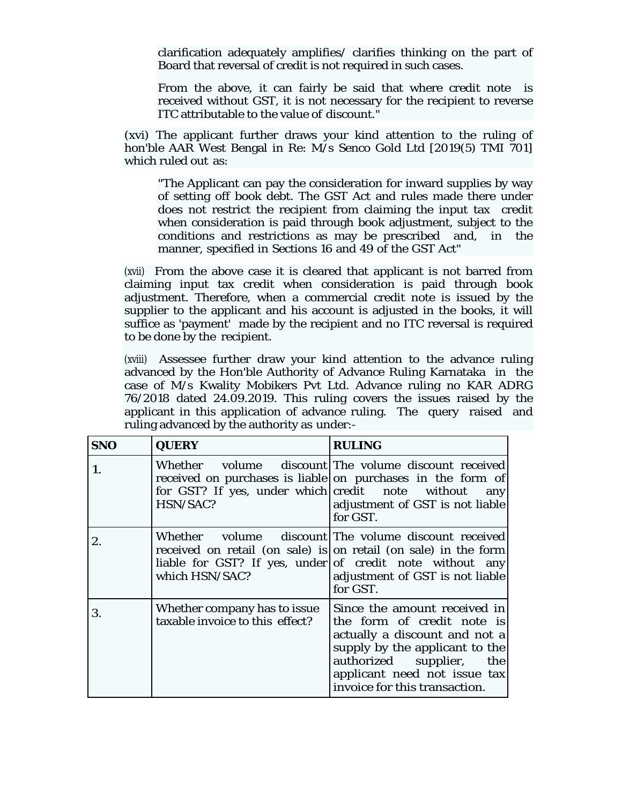clarification adequately amplifies/ clarifies thinking on the part of Board that reversal of credit is not required in such cases.

From the above, it can fairly be said that where credit note is received without GST, it is not necessary for the recipient to reverse ITC attributable to the value of discount."

(xvi) The applicant further draws your kind attention to the ruling of hon'ble AAR West Bengal in Re: M/s Senco Gold Ltd [2019(5) TMI 701] which ruled out as:

"The Applicant can pay the consideration for inward supplies by way of setting off book debt. The GST Act and rules made there under does not restrict the recipient from claiming the input tax credit when consideration is paid through book adjustment, subject to the conditions and restrictions as may be prescribed and, in the manner, specified in Sections 16 and 49 of the GST Act"

(xvii) From the above case it is cleared that applicant is not barred from claiming input tax credit when consideration is paid through book adjustment. Therefore, when a commercial credit note is issued by the supplier to the applicant and his account is adjusted in the books, it will suffice as 'payment' made by the recipient and no ITC reversal is required to be done by the recipient.

(xviii) Assessee further draw your kind attention to the advance ruling advanced by the Hon'ble Authority of Advance Ruling Karnataka in the case of M/s Kwality Mobikers Pvt Ltd. Advance ruling no KAR ADRG 76/2018 dated 24.09.2019. This ruling covers the issues raised by the applicant in this application of advance ruling. The query raised and ruling advanced by the authority as under:-

| <b>SNO</b> | <b>QUERY</b>                                                    | <b>RULING</b>                                                                                                                                                                                                                      |
|------------|-----------------------------------------------------------------|------------------------------------------------------------------------------------------------------------------------------------------------------------------------------------------------------------------------------------|
| 1.         | for GST? If yes, under which credit note without<br>HSN/SAC?    | Whether volume discount The volume discount received<br>received on purchases is liable on purchases in the form of<br>any<br>adjustment of GST is not liable<br>for GST.                                                          |
| 2.         | which HSN/SAC?                                                  | Whether volume discount The volume discount received<br>received on retail (on sale) is on retail (on sale) in the form<br>liable for GST? If yes, under of credit note without any<br>adjustment of GST is not liable<br>for GST. |
| 3.         | Whether company has to issue<br>taxable invoice to this effect? | Since the amount received in<br>the form of credit note is<br>actually a discount and not a<br>supply by the applicant to the<br>authorized supplier, the<br>applicant need not issue tax<br>invoice for this transaction.         |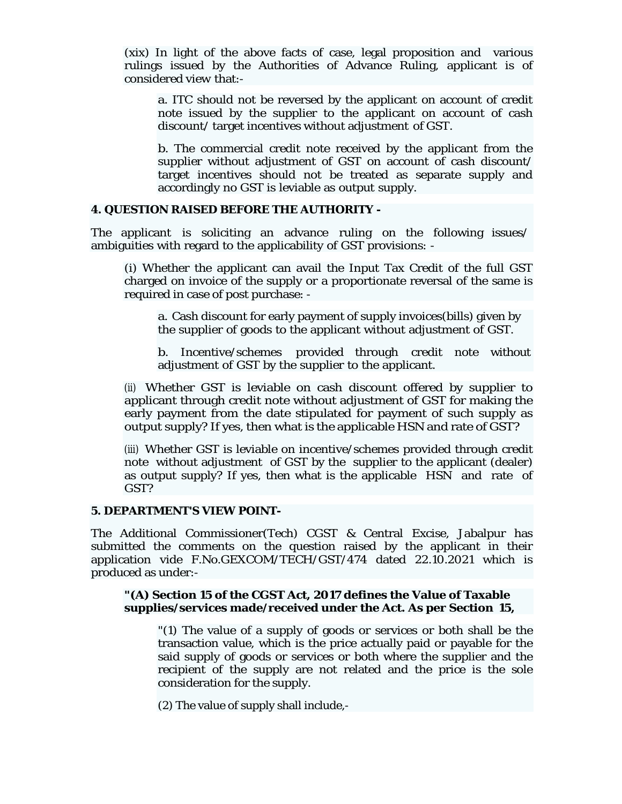(xix) In light of the above facts of case, legal proposition and various rulings issued by the Authorities of Advance Ruling, applicant is of considered view that:-

a. ITC should not be reversed by the applicant on account of credit note issued by the supplier to the applicant on account of cash discount/ target incentives without adjustment of GST.

b. The commercial credit note received by the applicant from the supplier without adjustment of GST on account of cash discount/ target incentives should not be treated as separate supply and accordingly no GST is leviable as output supply.

### **4. QUESTION RAISED BEFORE THE AUTHORITY -**

The applicant is soliciting an advance ruling on the following issues/ ambiguities with regard to the applicability of GST provisions: -

(i) Whether the applicant can avail the Input Tax Credit of the full GST charged on invoice of the supply or a proportionate reversal of the same is required in case of post purchase: -

a. Cash discount for early payment of supply invoices(bills) given by the supplier of goods to the applicant without adjustment of GST.

b. Incentive/schemes provided through credit note without adjustment of GST by the supplier to the applicant.

(ii) Whether GST is leviable on cash discount offered by supplier to applicant through credit note without adjustment of GST for making the early payment from the date stipulated for payment of such supply as output supply? If yes, then what is the applicable HSN and rate of GST?

(iii) Whether GST is leviable on incentive/schemes provided through credit note without adjustment of GST by the supplier to the applicant (dealer) as output supply? If yes, then what is the applicable HSN and rate of GST?

### **5. DEPARTMENT'S VIEW POINT-**

The Additional Commissioner(Tech) CGST & Central Excise, Jabalpur has submitted the comments on the question raised by the applicant in their application vide F.No.GEXCOM/TECH/GST/474 dated 22.10.2021 which is produced as under:-

### **"(A) Section 15 of the CGST Act, 2017 defines the Value of Taxable supplies/services made/received under the Act. As per Section 15,**

"(1) The value of a supply of goods or services or both shall be the transaction value, which is the price actually paid or payable for the said supply of goods or services or both where the supplier and the recipient of the supply are not related and the price is the sole consideration for the supply.

(2) The value of supply shall include,-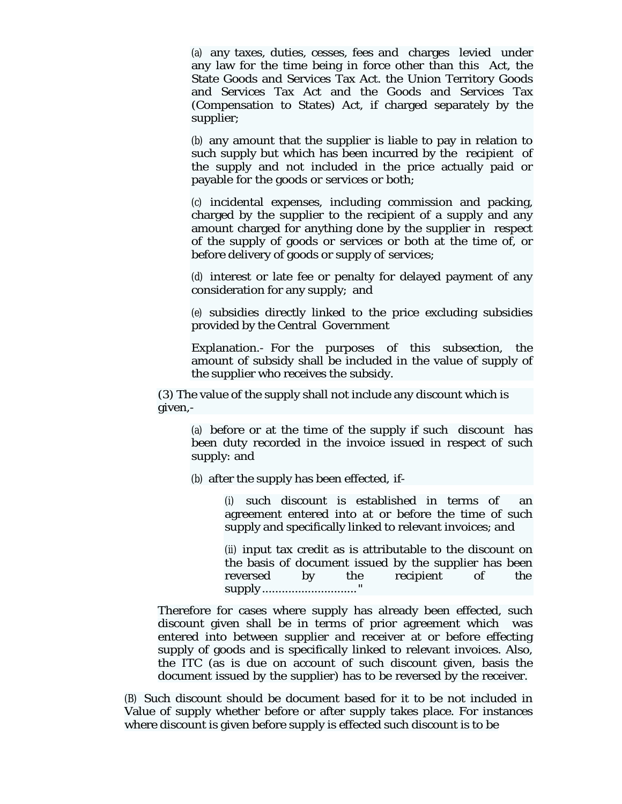(a) any taxes, duties, cesses, fees and charges levied under any law for the time being in force other than this Act, the State Goods and Services Tax Act. the Union Territory Goods and Services Tax Act and the Goods and Services Tax (Compensation to States) Act, if charged separately by the supplier;

(b) any amount that the supplier is liable to pay in relation to such supply but which has been incurred by the recipient of the supply and not included in the price actually paid or payable for the goods or services or both;

(c) incidental expenses, including commission and packing, charged by the supplier to the recipient of a supply and any amount charged for anything done by the supplier in respect of the supply of goods or services or both at the time of, or before delivery of goods or supply of services;

(d) interest or late fee or penalty for delayed payment of any consideration for any supply; and

(e) subsidies directly linked to the price excluding subsidies provided by the Central Government

Explanation.- For the purposes of this subsection, the amount of subsidy shall be included in the value of supply of the supplier who receives the subsidy.

(3) The value of the supply shall not include any discount which is given,-

(a) before or at the time of the supply if such discount has been duty recorded in the invoice issued in respect of such supply: and

(b) after the supply has been effected, if-

(i) such discount is established in terms of an agreement entered into at or before the time of such supply and specifically linked to relevant invoices; and

(ii) input tax credit as is attributable to the discount on the basis of document issued by the supplier has been reversed by the recipient of the supply ............................. "

Therefore for cases where supply has already been effected, such discount given shall be in terms of prior agreement which was entered into between supplier and receiver at or before effecting supply of goods and is specifically linked to relevant invoices. Also, the ITC (as is due on account of such discount given, basis the document issued by the supplier) has to be reversed by the receiver.

(B) Such discount should be document based for it to be not included in Value of supply whether before or after supply takes place. For instances where discount is given before supply is effected such discount is to be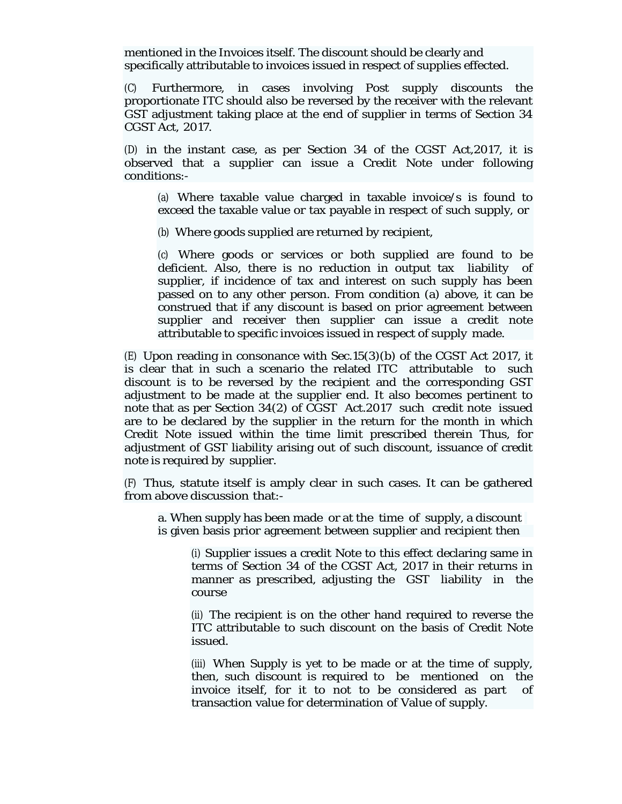mentioned in the Invoices itself. The discount should be clearly and specifically attributable to invoices issued in respect of supplies effected.

(C) Furthermore, in cases involving Post supply discounts the proportionate ITC should also be reversed by the receiver with the relevant GST adjustment taking place at the end of supplier in terms of Section 34 CGST Act, 2017.

(D) in the instant case, as per Section 34 of the CGST Act,2017, it is observed that a supplier can issue a Credit Note under following conditions:-

(a) Where taxable value charged in taxable invoice/s is found to exceed the taxable value or tax payable in respect of such supply, or

(b) Where goods supplied are returned by recipient,

(c) Where goods or services or both supplied are found to be deficient. Also, there is no reduction in output tax liability of supplier, if incidence of tax and interest on such supply has been passed on to any other person. From condition (a) above, it can be construed that if any discount is based on prior agreement between supplier and receiver then supplier can issue a credit note attributable to specific invoices issued in respect of supply made.

(E) Upon reading in consonance with Sec.15(3)(b) of the CGST Act 2017, it is clear that in such a scenario the related ITC attributable to such discount is to be reversed by the recipient and the corresponding GST adjustment to be made at the supplier end. It also becomes pertinent to note that as per Section 34(2) of CGST Act.2017 such credit note issued are to be declared by the supplier in the return for the month in which Credit Note issued within the time limit prescribed therein Thus, for adjustment of GST liability arising out of such discount, issuance of credit note is required by supplier.

(F) Thus, statute itself is amply clear in such cases. It can be gathered from above discussion that:-

a. When supply has been made or at the time of supply, a discount is given basis prior agreement between supplier and recipient then

(i) Supplier issues a credit Note to this effect declaring same in terms of Section 34 of the CGST Act, 2017 in their returns in manner as prescribed, adjusting the GST liability in the course

(ii) The recipient is on the other hand required to reverse the ITC attributable to such discount on the basis of Credit Note issued.

(iii) When Supply is yet to be made or at the time of supply, then, such discount is required to be mentioned on the invoice itself, for it to not to be considered as part of transaction value for determination of Value of supply.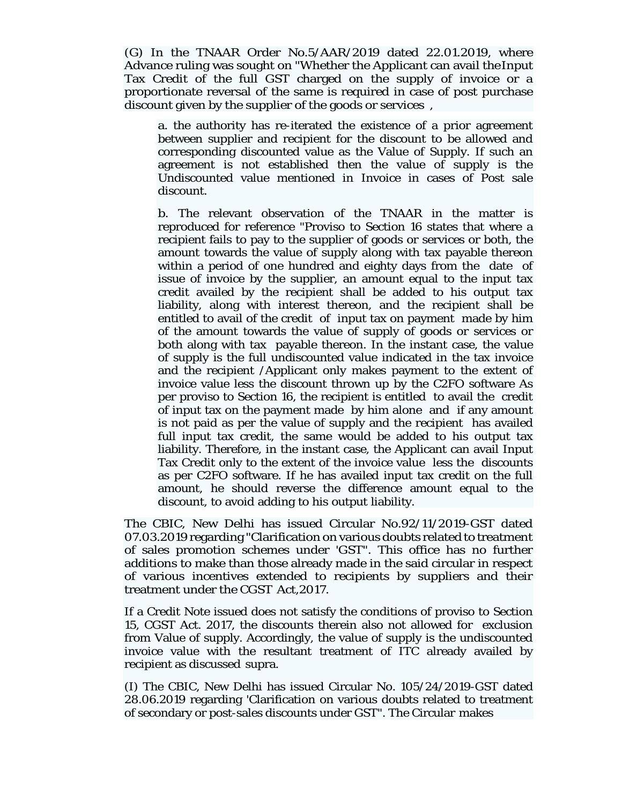(G) In the TNAAR Order No.5/AAR/2019 dated 22.01.2019, where Advance ruling was sought on "Whether the Applicant can avail the Input Tax Credit of the full GST charged on the supply of invoice or a proportionate reversal of the same is required in case of post purchase discount given by the supplier of the goods or services ,

a. the authority has re-iterated the existence of a prior agreement between supplier and recipient for the discount to be allowed and corresponding discounted value as the Value of Supply. If such an agreement is not established then the value of supply is the Undiscounted value mentioned in Invoice in cases of Post sale discount.

b. The relevant observation of the TNAAR in the matter is reproduced for reference "Proviso to Section 16 states that where a recipient fails to pay to the supplier of goods or services or both, the amount towards the value of supply along with tax payable thereon within a period of one hundred and eighty days from the date of issue of invoice by the supplier, an amount equal to the input tax credit availed by the recipient shall be added to his output tax liability, along with interest thereon, and the recipient shall be entitled to avail of the credit of input tax on payment made by him of the amount towards the value of supply of goods or services or both along with tax payable thereon. In the instant case, the value of supply is the full undiscounted value indicated in the tax invoice and the recipient /Applicant only makes payment to the extent of invoice value less the discount thrown up by the C2FO software As per proviso to Section 16, the recipient is entitled to avail the credit of input tax on the payment made by him alone and if any amount is not paid as per the value of supply and the recipient has availed full input tax credit, the same would be added to his output tax liability. Therefore, in the instant case, the Applicant can avail Input Tax Credit only to the extent of the invoice value less the discounts as per C2FO software. If he has availed input tax credit on the full amount, he should reverse the difference amount equal to the discount, to avoid adding to his output liability.

The CBIC, New Delhi has issued Circular No.92/11/2019-GST dated 07.03.2019 regarding "Clarification on various doubts related to treatment of sales promotion schemes under 'GST". This office has no further additions to make than those already made in the said circular in respect of various incentives extended to recipients by suppliers and their treatment under the CGST Act,2017.

If a Credit Note issued does not satisfy the conditions of proviso to Section 15, CGST Act. 2017, the discounts therein also not allowed for exclusion from Value of supply. Accordingly, the value of supply is the undiscounted invoice value with the resultant treatment of ITC already availed by recipient as discussed supra.

(I) The CBIC, New Delhi has issued Circular No. 105/24/2019-GST dated 28.06.2019 regarding 'Clarification on various doubts related to treatment of secondary or post-sales discounts under GST". The Circular makes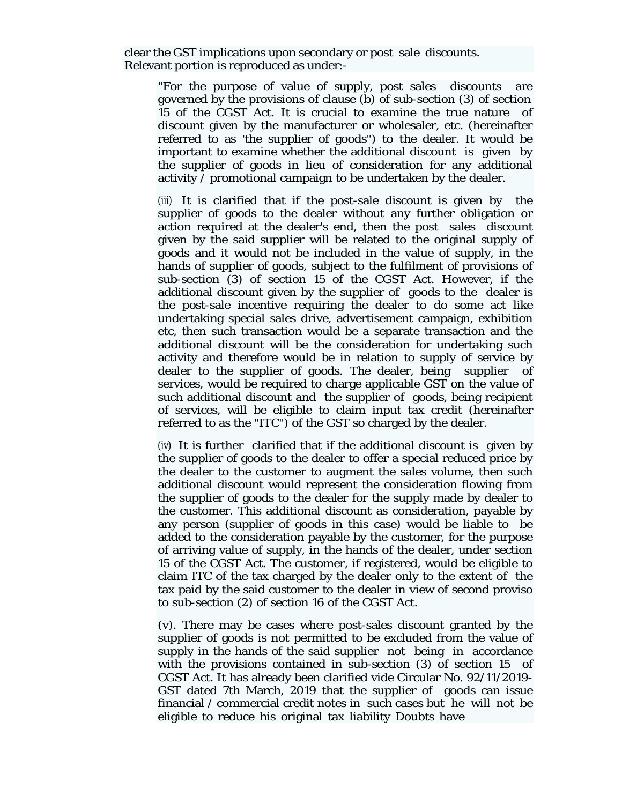clear the GST implications upon secondary or post sale discounts. Relevant portion is reproduced as under:-

"For the purpose of value of supply, post sales discounts are governed by the provisions of clause (b) of sub-section (3) of section 15 of the CGST Act. It is crucial to examine the true nature of discount given by the manufacturer or wholesaler, etc. (hereinafter referred to as 'the supplier of goods") to the dealer. It would be important to examine whether the additional discount is given by the supplier of goods in lieu of consideration for any additional activity / promotional campaign to be undertaken by the dealer.

(iii) It is clarified that if the post-sale discount is given by the supplier of goods to the dealer without any further obligation or action required at the dealer's end, then the post sales discount given by the said supplier will be related to the original supply of goods and it would not be included in the value of supply, in the hands of supplier of goods, subject to the fulfilment of provisions of sub-section (3) of section 15 of the CGST Act. However, if the additional discount given by the supplier of goods to the dealer is the post-sale incentive requiring the dealer to do some act like undertaking special sales drive, advertisement campaign, exhibition etc, then such transaction would be a separate transaction and the additional discount will be the consideration for undertaking such activity and therefore would be in relation to supply of service by dealer to the supplier of goods. The dealer, being supplier of services, would be required to charge applicable GST on the value of such additional discount and the supplier of goods, being recipient of services, will be eligible to claim input tax credit (hereinafter referred to as the "ITC") of the GST so charged by the dealer.

(iv) It is further clarified that if the additional discount is given by the supplier of goods to the dealer to offer a special reduced price by the dealer to the customer to augment the sales volume, then such additional discount would represent the consideration flowing from the supplier of goods to the dealer for the supply made by dealer to the customer. This additional discount as consideration, payable by any person (supplier of goods in this case) would be liable to be added to the consideration payable by the customer, for the purpose of arriving value of supply, in the hands of the dealer, under section 15 of the CGST Act. The customer, if registered, would be eligible to claim ITC of the tax charged by the dealer only to the extent of the tax paid by the said customer to the dealer in view of second proviso to sub-section (2) of section 16 of the CGST Act.

(v). There may be cases where post-sales discount granted by the supplier of goods is not permitted to be excluded from the value of supply in the hands of the said supplier not being in accordance with the provisions contained in sub-section (3) of section 15 of CGST Act. It has already been clarified vide Circular No. 92/11/2019- GST dated 7th March, 2019 that the supplier of goods can issue financial / commercial credit notes in such cases but he will not be eligible to reduce his original tax liability Doubts have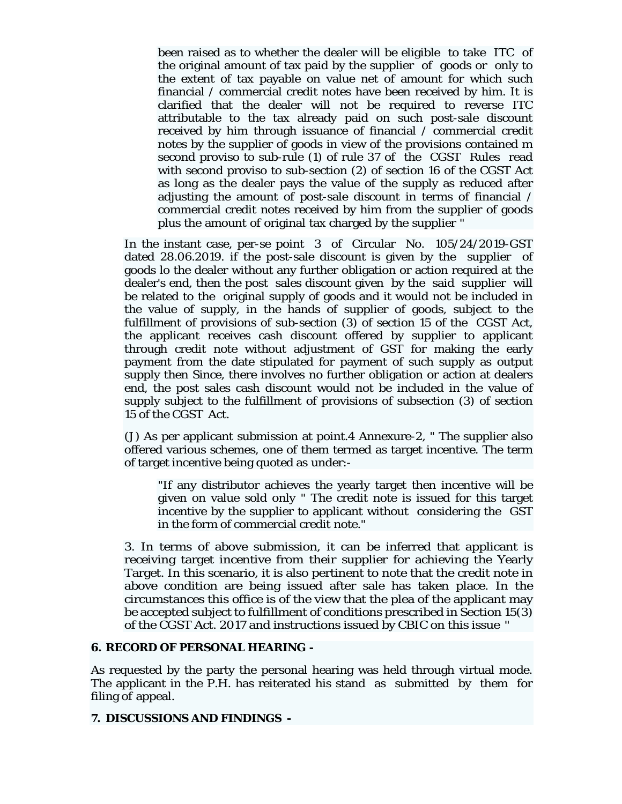been raised as to whether the dealer will be eligible to take ITC of the original amount of tax paid by the supplier of goods or only to the extent of tax payable on value net of amount for which such financial / commercial credit notes have been received by him. It is clarified that the dealer will not be required to reverse ITC attributable to the tax already paid on such post-sale discount received by him through issuance of financial / commercial credit notes by the supplier of goods in view of the provisions contained m second proviso to sub-rule (1) of rule 37 of the CGST Rules read with second proviso to sub-section (2) of section 16 of the CGST Act as long as the dealer pays the value of the supply as reduced after adjusting the amount of post-sale discount in terms of financial / commercial credit notes received by him from the supplier of goods plus the amount of original tax charged by the supplier "

In the instant case, per-se point 3 of Circular No. 105/24/2019-GST dated 28.06.2019. if the post-sale discount is given by the supplier of goods lo the dealer without any further obligation or action required at the dealer's end, then the post sales discount given by the said supplier will be related to the original supply of goods and it would not be included in the value of supply, in the hands of supplier of goods, subject to the fulfillment of provisions of sub-section (3) of section 15 of the CGST Act, the applicant receives cash discount offered by supplier to applicant through credit note without adjustment of GST for making the early payment from the date stipulated for payment of such supply as output supply then Since, there involves no further obligation or action at dealers end, the post sales cash discount would not be included in the value of supply subject to the fulfillment of provisions of subsection (3) of section 15 of the CGST Act.

(J) As per applicant submission at point.4 Annexure-2, " The supplier also offered various schemes, one of them termed as target incentive. The term of target incentive being quoted as under:-

"If any distributor achieves the yearly target then incentive will be given on value sold only " The credit note is issued for this target incentive by the supplier to applicant without considering the GST in the form of commercial credit note."

3. In terms of above submission, it can be inferred that applicant is receiving target incentive from their supplier for achieving the Yearly Target. In this scenario, it is also pertinent to note that the credit note in above condition are being issued after sale has taken place. In the circumstances this office is of the view that the plea of the applicant may be accepted subject to fulfillment of conditions prescribed in Section 15(3) of the CGST Act. 2017 and instructions issued by CBIC on this issue "

### **6. RECORD OF PERSONAL HEARING -**

As requested by the party the personal hearing was held through virtual mode. The applicant in the P.H. has reiterated his stand as submitted by them for filing of appeal.

## **7. DISCUSSIONS AND FINDINGS -**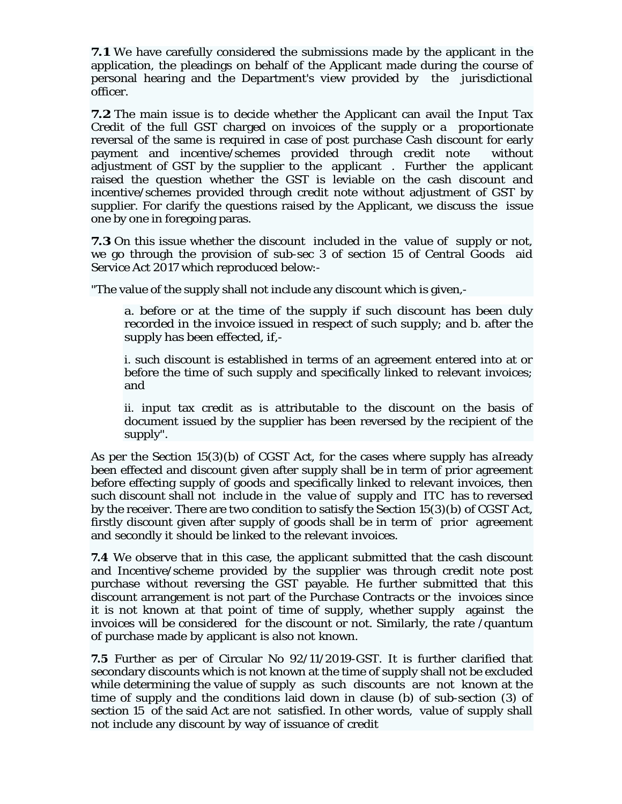**7.1** We have carefully considered the submissions made by the applicant in the application, the pleadings on behalf of the Applicant made during the course of personal hearing and the Department's view provided by the jurisdictional officer.

**7.2** The main issue is to decide whether the Applicant can avail the Input Tax Credit of the full GST charged on invoices of the supply or a proportionate reversal of the same is required in case of post purchase Cash discount for early payment and incentive/schemes provided through credit note without adjustment of GST by the supplier to the applicant . Further the applicant raised the question whether the GST is leviable on the cash discount and incentive/schemes provided through credit note without adjustment of GST by supplier. For clarify the questions raised by the Applicant, we discuss the issue one by one in foregoing paras.

**7.3** On this issue whether the discount included in the value of supply or not, we go through the provision of sub-sec 3 of section 15 of Central Goods aid Service Act 2017 which reproduced below:-

"The value of the supply shall not include any discount which is given,-

a. before or at the time of the supply if such discount has been duly recorded in the invoice issued in respect of such supply; and b. after the supply has been effected, if,-

i. such discount is established in terms of an agreement entered into at or before the time of such supply and specifically linked to relevant invoices; and

ii. input tax credit as is attributable to the discount on the basis of document issued by the supplier has been reversed by the recipient of the supply".

As per the Section 15(3)(b) of CGST Act, for the cases where supply has aIready been effected and discount given after supply shall be in term of prior agreement before effecting supply of goods and specifically linked to relevant invoices, then such discount shall not include in the value of supply and ITC has to reversed by the receiver. There are two condition to satisfy the Section 15(3)(b) of CGST Act, firstly discount given after supply of goods shall be in term of prior agreement and secondly it should be linked to the relevant invoices.

**7.4** We observe that in this case, the applicant submitted that the cash discount and Incentive/scheme provided by the supplier was through credit note post purchase without reversing the GST payable. He further submitted that this discount arrangement is not part of the Purchase Contracts or the invoices since it is not known at that point of time of supply, whether supply against the invoices will be considered for the discount or not. Similarly, the rate /quantum of purchase made by applicant is also not known.

**7.5** Further as per of Circular No 92/11/2019-GST. It is further clarified that secondary discounts which is not known at the time of supply shall not be excluded while determining the value of supply as such discounts are not known at the time of supply and the conditions laid down in clause (b) of sub-section (3) of section 15 of the said Act are not satisfied. In other words, value of supply shall not include any discount by way of issuance of credit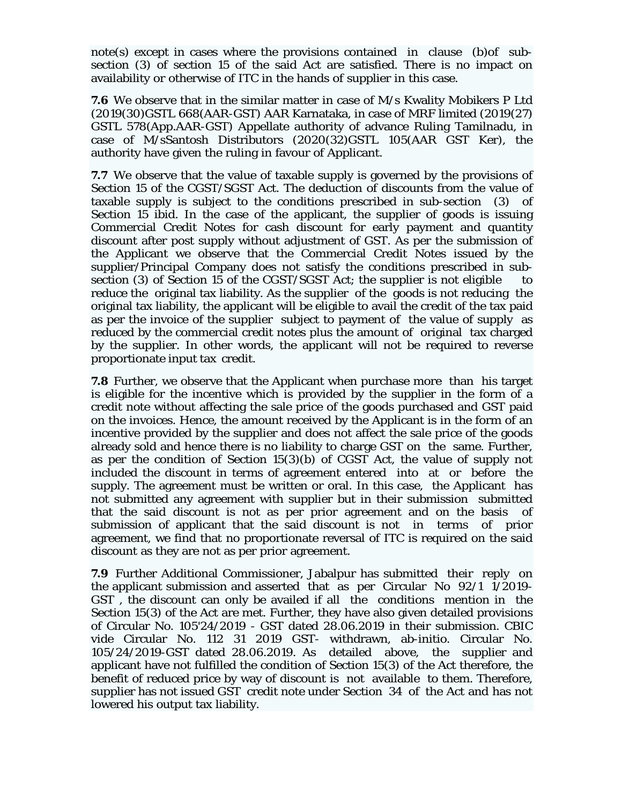note(s) except in cases where the provisions contained in clause (b)of subsection (3) of section 15 of the said Act are satisfied. There is no impact on availability or otherwise of ITC in the hands of supplier in this case.

**7.6** We observe that in the similar matter in case of M/s Kwality Mobikers P Ltd (2019(30)GSTL 668(AAR-GST) AAR Karnataka, in case of MRF limited (2019(27) GSTL 578(App.AAR-GST) Appellate authority of advance Ruling Tamilnadu, in case of M/sSantosh Distributors (2020(32)GSTL 105(AAR GST Ker), the authority have given the ruling in favour of Applicant.

**7.7** We observe that the value of taxable supply is governed by the provisions of Section 15 of the CGST/SGST Act. The deduction of discounts from the value of taxable supply is subject to the conditions prescribed in sub-section (3) of Section 15 ibid. In the case of the applicant, the supplier of goods is issuing Commercial Credit Notes for cash discount for early payment and quantity discount after post supply without adjustment of GST. As per the submission of the Applicant we observe that the Commercial Credit Notes issued by the supplier/Principal Company does not satisfy the conditions prescribed in subsection (3) of Section 15 of the CGST/SGST Act; the supplier is not eligible to reduce the original tax liability. As the supplier of the goods is not reducing the original tax liability, the applicant will be eligible to avail the credit of the tax paid as per the invoice of the supplier subject to payment of the value of supply as reduced by the commercial credit notes plus the amount of original tax charged by the supplier. In other words, the applicant will not be required to reverse proportionate input tax credit.

**7.8** Further, we observe that the Applicant when purchase more than his target is eligible for the incentive which is provided by the supplier in the form of a credit note without affecting the sale price of the goods purchased and GST paid on the invoices. Hence, the amount received by the Applicant is in the form of an incentive provided by the supplier and does not affect the sale price of the goods already sold and hence there is no liability to charge GST on the same. Further, as per the condition of Section 15(3)(b) of CGST Act, the value of supply not included the discount in terms of agreement entered into at or before the supply. The agreement must be written or oral. In this case, the Applicant has not submitted any agreement with supplier but in their submission submitted that the said discount is not as per prior agreement and on the basis of submission of applicant that the said discount is not in terms of prior agreement, we find that no proportionate reversal of ITC is required on the said discount as they are not as per prior agreement.

**7.9** Further Additional Commissioner, Jabalpur has submitted their reply on the applicant submission and asserted that as per Circular No 92/1 1/2019- GST , the discount can only be availed if all the conditions mention in the Section 15(3) of the Act are met. Further, they have also given detailed provisions of Circular No. 105'24/2019 - GST dated 28.06.2019 in their submission. CBIC vide Circular No. 112 31 2019 GST- withdrawn, ab-initio. Circular No. 105/24/2019-GST dated 28.06.2019. As detailed above, the supplier and applicant have not fulfilled the condition of Section 15(3) of the Act therefore, the benefit of reduced price by way of discount is not available to them. Therefore, supplier has not issued GST credit note under Section 34 of the Act and has not lowered his output tax liability.